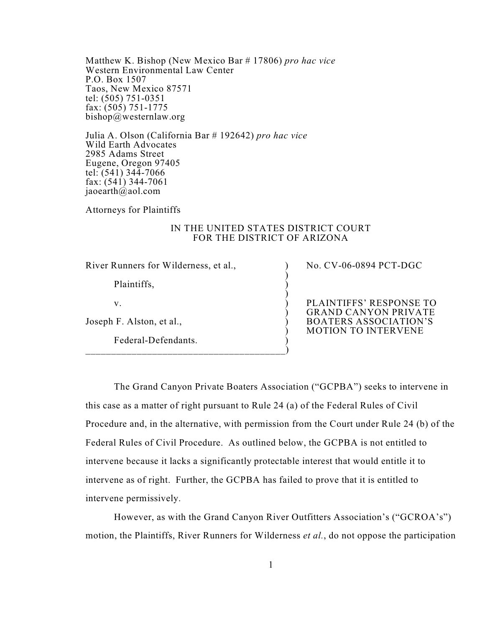Matthew K. Bishop (New Mexico Bar # 17806) *pro hac vice* Western Environmental Law Center P.O. Box 1507 Taos, New Mexico 87571 tel: (505) 751-0351 fax: (505) 751-1775 bishop@westernlaw.org

Julia A. Olson (California Bar # 192642) *pro hac vice* Wild Earth Advocates 2985 Adams Street Eugene, Oregon 97405 tel: (541) 344-7066 fax: (541) 344-7061 jaoearth $\omega$ aol.com

Attorneys for Plaintiffs

### IN THE UNITED STATES DISTRICT COURT FOR THE DISTRICT OF ARIZONA

)

)

)

)

River Runners for Wilderness, et al., )

Plaintiffs, )

 $\mathbf v.$  )

Joseph F. Alston, et al., )

Federal-Defendants. )

\_\_\_\_\_\_\_\_\_\_\_\_\_\_\_\_\_\_\_\_\_\_\_\_\_\_\_\_\_\_\_\_\_\_\_\_\_\_\_)

No. CV-06-0894 PCT-DGC

PLAINTIFFS' RESPONSE TO GRAND CANYON PRIVATE BOATERS ASSOCIATION'S MOTION TO INTERVENE

The Grand Canyon Private Boaters Association ("GCPBA") seeks to intervene in this case as a matter of right pursuant to Rule 24 (a) of the Federal Rules of Civil Procedure and, in the alternative, with permission from the Court under Rule 24 (b) of the Federal Rules of Civil Procedure. As outlined below, the GCPBA is not entitled to intervene because it lacks a significantly protectable interest that would entitle it to intervene as of right. Further, the GCPBA has failed to prove that it is entitled to intervene permissively.

However, as with the Grand Canyon River Outfitters Association's ("GCROA's") motion, the Plaintiffs, River Runners for Wilderness *et al.*, do not oppose the participation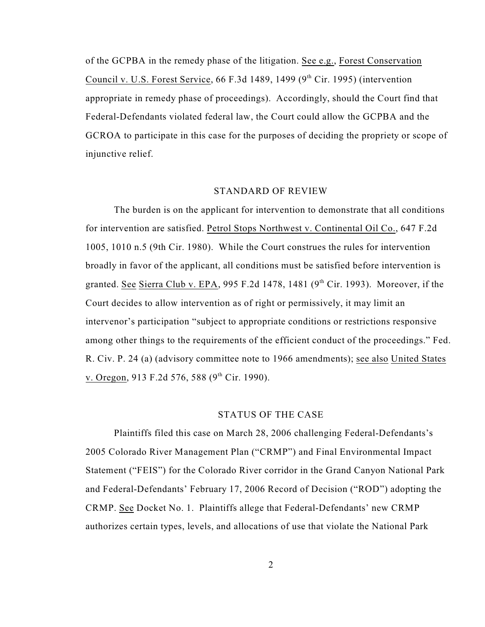of the GCPBA in the remedy phase of the litigation. See e.g., Forest Conservation Council v. U.S. Forest Service, 66 F.3d 1489, 1499 ( $9<sup>th</sup>$  Cir. 1995) (intervention appropriate in remedy phase of proceedings). Accordingly, should the Court find that Federal-Defendants violated federal law, the Court could allow the GCPBA and the GCROA to participate in this case for the purposes of deciding the propriety or scope of injunctive relief.

#### STANDARD OF REVIEW

The burden is on the applicant for intervention to demonstrate that all conditions for intervention are satisfied. Petrol Stops Northwest v. Continental Oil Co., 647 F.2d 1005, 1010 n.5 (9th Cir. 1980). While the Court construes the rules for intervention broadly in favor of the applicant, all conditions must be satisfied before intervention is granted. See Sierra Club v. EPA, 995 F.2d 1478, 1481 ( $9<sup>th</sup>$  Cir. 1993). Moreover, if the Court decides to allow intervention as of right or permissively, it may limit an intervenor's participation "subject to appropriate conditions or restrictions responsive among other things to the requirements of the efficient conduct of the proceedings." Fed. R. Civ. P. 24 (a) (advisory committee note to 1966 amendments); see also United States v. Oregon, 913 F.2d 576, 588  $(9<sup>th</sup>$  Cir. 1990).

### STATUS OF THE CASE

Plaintiffs filed this case on March 28, 2006 challenging Federal-Defendants's 2005 Colorado River Management Plan ("CRMP") and Final Environmental Impact Statement ("FEIS") for the Colorado River corridor in the Grand Canyon National Park and Federal-Defendants' February 17, 2006 Record of Decision ("ROD") adopting the CRMP. See Docket No. 1. Plaintiffs allege that Federal-Defendants' new CRMP authorizes certain types, levels, and allocations of use that violate the National Park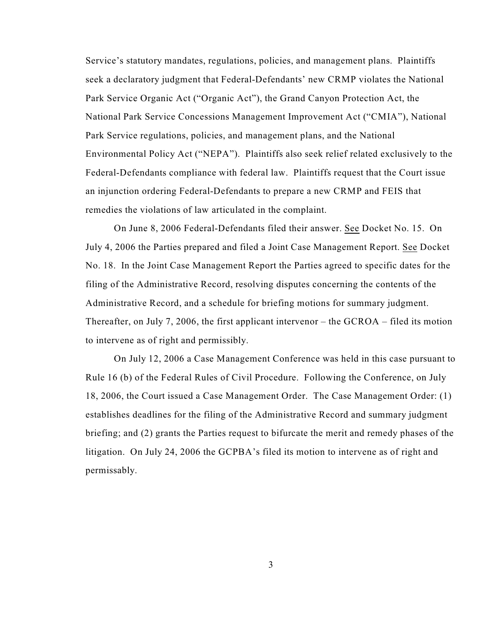Service's statutory mandates, regulations, policies, and management plans. Plaintiffs seek a declaratory judgment that Federal-Defendants' new CRMP violates the National Park Service Organic Act ("Organic Act"), the Grand Canyon Protection Act, the National Park Service Concessions Management Improvement Act ("CMIA"), National Park Service regulations, policies, and management plans, and the National Environmental Policy Act ("NEPA"). Plaintiffs also seek relief related exclusively to the Federal-Defendants compliance with federal law. Plaintiffs request that the Court issue an injunction ordering Federal-Defendants to prepare a new CRMP and FEIS that remedies the violations of law articulated in the complaint.

On June 8, 2006 Federal-Defendants filed their answer. See Docket No. 15. On July 4, 2006 the Parties prepared and filed a Joint Case Management Report. See Docket No. 18. In the Joint Case Management Report the Parties agreed to specific dates for the filing of the Administrative Record, resolving disputes concerning the contents of the Administrative Record, and a schedule for briefing motions for summary judgment. Thereafter, on July 7, 2006, the first applicant intervenor – the GCROA – filed its motion to intervene as of right and permissibly.

On July 12, 2006 a Case Management Conference was held in this case pursuant to Rule 16 (b) of the Federal Rules of Civil Procedure. Following the Conference, on July 18, 2006, the Court issued a Case Management Order. The Case Management Order: (1) establishes deadlines for the filing of the Administrative Record and summary judgment briefing; and (2) grants the Parties request to bifurcate the merit and remedy phases of the litigation. On July 24, 2006 the GCPBA's filed its motion to intervene as of right and permissably.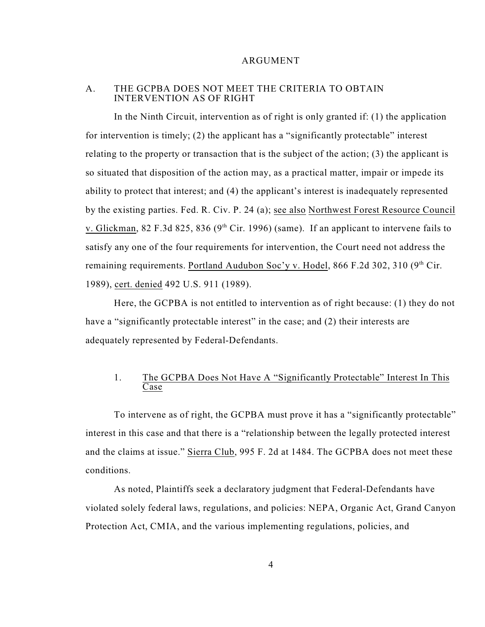### ARGUMENT

### A. THE GCPBA DOES NOT MEET THE CRITERIA TO OBTAIN INTERVENTION AS OF RIGHT

In the Ninth Circuit, intervention as of right is only granted if: (1) the application for intervention is timely; (2) the applicant has a "significantly protectable" interest relating to the property or transaction that is the subject of the action; (3) the applicant is so situated that disposition of the action may, as a practical matter, impair or impede its ability to protect that interest; and (4) the applicant's interest is inadequately represented by the existing parties. Fed. R. Civ. P. 24 (a); see also Northwest Forest Resource Council v. Glickman, 82 F.3d 825, 836 ( $9<sup>th</sup>$  Cir. 1996) (same). If an applicant to intervene fails to satisfy any one of the four requirements for intervention, the Court need not address the remaining requirements. Portland Audubon Soc'y v. Hodel, 866 F.2d 302, 310 (9<sup>th</sup> Cir. 1989), cert. denied 492 U.S. 911 (1989).

Here, the GCPBA is not entitled to intervention as of right because: (1) they do not have a "significantly protectable interest" in the case; and (2) their interests are adequately represented by Federal-Defendants.

## 1. The GCPBA Does Not Have A "Significantly Protectable" Interest In This Case

To intervene as of right, the GCPBA must prove it has a "significantly protectable" interest in this case and that there is a "relationship between the legally protected interest and the claims at issue." Sierra Club, 995 F. 2d at 1484. The GCPBA does not meet these conditions.

As noted, Plaintiffs seek a declaratory judgment that Federal-Defendants have violated solely federal laws, regulations, and policies: NEPA, Organic Act, Grand Canyon Protection Act, CMIA, and the various implementing regulations, policies, and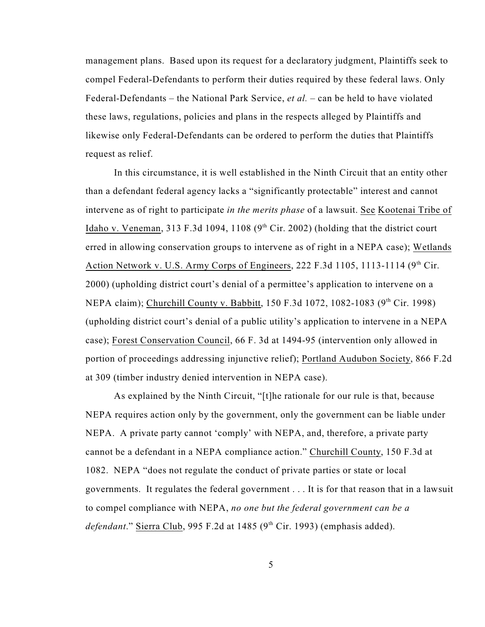management plans. Based upon its request for a declaratory judgment, Plaintiffs seek to compel Federal-Defendants to perform their duties required by these federal laws. Only Federal-Defendants – the National Park Service, *et al.* – can be held to have violated these laws, regulations, policies and plans in the respects alleged by Plaintiffs and likewise only Federal-Defendants can be ordered to perform the duties that Plaintiffs request as relief.

In this circumstance, it is well established in the Ninth Circuit that an entity other than a defendant federal agency lacks a "significantly protectable" interest and cannot intervene as of right to participate *in the merits phase* of a lawsuit. See Kootenai Tribe of Idaho v. Veneman, 313 F.3d 1094, 1108 ( $9<sup>th</sup>$  Cir. 2002) (holding that the district court erred in allowing conservation groups to intervene as of right in a NEPA case); Wetlands Action Network v. U.S. Army Corps of Engineers, 222 F.3d 1105, 1113-1114 (9<sup>th</sup> Cir. 2000) (upholding district court's denial of a permittee's application to intervene on a NEPA claim); Churchill County v. Babbitt, 150 F.3d 1072, 1082-1083 (9<sup>th</sup> Cir. 1998) (upholding district court's denial of a public utility's application to intervene in a NEPA case); Forest Conservation Council, 66 F. 3d at 1494-95 (intervention only allowed in portion of proceedings addressing injunctive relief); Portland Audubon Society, 866 F.2d at 309 (timber industry denied intervention in NEPA case).

As explained by the Ninth Circuit, "[t]he rationale for our rule is that, because NEPA requires action only by the government, only the government can be liable under NEPA. A private party cannot 'comply' with NEPA, and, therefore, a private party cannot be a defendant in a NEPA compliance action." Churchill County, 150 F.3d at 1082. NEPA "does not regulate the conduct of private parties or state or local governments. It regulates the federal government . . . It is for that reason that in a lawsuit to compel compliance with NEPA, *no one but the federal government can be a defendant*." Sierra Club, 995 F.2d at 1485 (9<sup>th</sup> Cir. 1993) (emphasis added).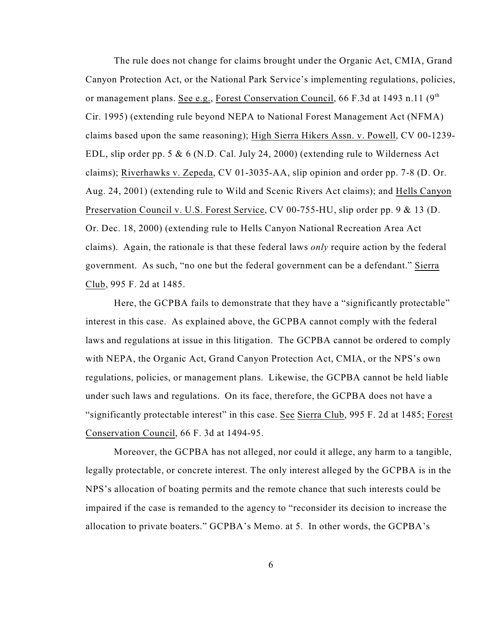The rule does not change for claims brought under the Organic Act, CMIA, Grand Canyon Protection Act, or the National Park Service's implementing regulations, policies, or management plans. See e.g., Forest Conservation Council, 66 F.3d at 1493 n.11 (9<sup>th</sup>) Cir. 1995) (extending rule beyond NEPA to National Forest Management Act (NFMA) claims based upon the same reasoning); High Sierra Hikers Assn. v. Powell, CV 00-1239- EDL, slip order pp. 5 & 6 (N.D. Cal. July 24, 2000) (extending rule to Wilderness Act claims); Riverhawks v. Zepeda, CV 01-3035-AA, slip opinion and order pp. 7-8 (D. Or. Aug. 24, 2001) (extending rule to Wild and Scenic Rivers Act claims); and Hells Canyon Preservation Council v. U.S. Forest Service, CV 00-755-HU, slip order pp. 9 & 13 (D. Or. Dec. 18, 2000) (extending rule to Hells Canyon National Recreation Area Act claims). Again, the rationale is that these federal laws *only* require action by the federal government. As such, "no one but the federal government can be a defendant." Sierra Club, 995 F. 2d at 1485.

Here, the GCPBA fails to demonstrate that they have a "significantly protectable" interest in this case. As explained above, the GCPBA cannot comply with the federal laws and regulations at issue in this litigation. The GCPBA cannot be ordered to comply with NEPA, the Organic Act, Grand Canyon Protection Act, CMIA, or the NPS's own regulations, policies, or management plans. Likewise, the GCPBA cannot be held liable under such laws and regulations. On its face, therefore, the GCPBA does not have a "significantly protectable interest" in this case. See Sierra Club, 995 F. 2d at 1485; Forest Conservation Council, 66 F. 3d at 1494-95.

Moreover, the GCPBA has not alleged, nor could it allege, any harm to a tangible, legally protectable, or concrete interest. The only interest alleged by the GCPBA is in the NPS's allocation of boating permits and the remote chance that such interests could be impaired if the case is remanded to the agency to "reconsider its decision to increase the allocation to private boaters." GCPBA's Memo. at 5. In other words, the GCPBA's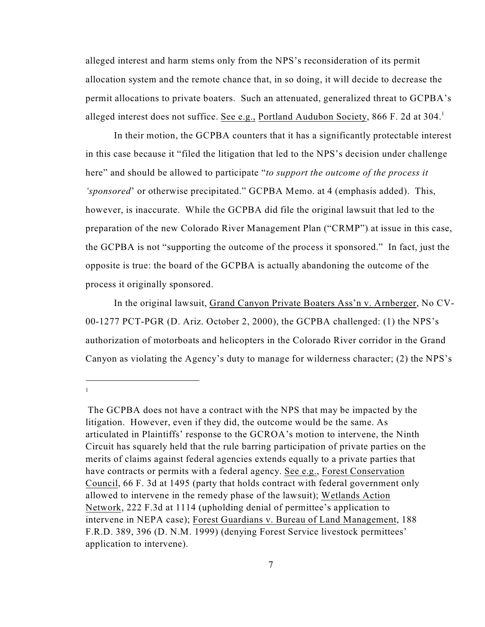alleged interest and harm stems only from the NPS's reconsideration of its permit allocation system and the remote chance that, in so doing, it will decide to decrease the permit allocations to private boaters. Such an attenuated, generalized threat to GCPBA's alleged interest does not suffice. See e.g., Portland Audubon Society, 866 F. 2d at  $304<sup>1</sup>$ 

In their motion, the GCPBA counters that it has a significantly protectable interest in this case because it "filed the litigation that led to the NPS's decision under challenge here" and should be allowed to participate "*to support the outcome of the process it 'sponsored*' or otherwise precipitated." GCPBA Memo. at 4 (emphasis added). This, however, is inaccurate. While the GCPBA did file the original lawsuit that led to the preparation of the new Colorado River Management Plan ("CRMP") at issue in this case, the GCPBA is not "supporting the outcome of the process it sponsored." In fact, just the opposite is true: the board of the GCPBA is actually abandoning the outcome of the process it originally sponsored.

In the original lawsuit, Grand Canyon Private Boaters Ass'n v. Arnberger, No CV-00-1277 PCT-PGR (D. Ariz. October 2, 2000), the GCPBA challenged: (1) the NPS's authorization of motorboats and helicopters in the Colorado River corridor in the Grand Canyon as violating the Agency's duty to manage for wilderness character; (2) the NPS's

The GCPBA does not have a contract with the NPS that may be impacted by the litigation. However, even if they did, the outcome would be the same. As articulated in Plaintiffs' response to the GCROA's motion to intervene, the Ninth Circuit has squarely held that the rule barring participation of private parties on the merits of claims against federal agencies extends equally to a private parties that have contracts or permits with a federal agency. See e.g., Forest Conservation Council, 66 F. 3d at 1495 (party that holds contract with federal government only allowed to intervene in the remedy phase of the lawsuit); Wetlands Action Network, 222 F.3d at 1114 (upholding denial of permittee's application to intervene in NEPA case); Forest Guardians v. Bureau of Land Management, 188 F.R.D. 389, 396 (D. N.M. 1999) (denying Forest Service livestock permittees' application to intervene).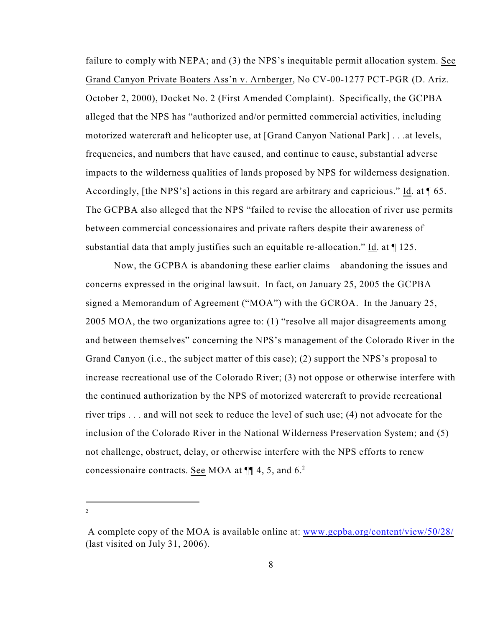failure to comply with NEPA; and (3) the NPS's inequitable permit allocation system. See Grand Canyon Private Boaters Ass'n v. Arnberger, No CV-00-1277 PCT-PGR (D. Ariz. October 2, 2000), Docket No. 2 (First Amended Complaint). Specifically, the GCPBA alleged that the NPS has "authorized and/or permitted commercial activities, including motorized watercraft and helicopter use, at [Grand Canyon National Park] . . .at levels, frequencies, and numbers that have caused, and continue to cause, substantial adverse impacts to the wilderness qualities of lands proposed by NPS for wilderness designation. Accordingly, [the NPS's] actions in this regard are arbitrary and capricious." Id. at ¶ 65. The GCPBA also alleged that the NPS "failed to revise the allocation of river use permits between commercial concessionaires and private rafters despite their awareness of substantial data that amply justifies such an equitable re-allocation." Id. at  $\P$  125.

Now, the GCPBA is abandoning these earlier claims – abandoning the issues and concerns expressed in the original lawsuit. In fact, on January 25, 2005 the GCPBA signed a Memorandum of Agreement ("MOA") with the GCROA. In the January 25, 2005 MOA, the two organizations agree to: (1) "resolve all major disagreements among and between themselves" concerning the NPS's management of the Colorado River in the Grand Canyon (i.e., the subject matter of this case); (2) support the NPS's proposal to increase recreational use of the Colorado River; (3) not oppose or otherwise interfere with the continued authorization by the NPS of motorized watercraft to provide recreational river trips . . . and will not seek to reduce the level of such use; (4) not advocate for the inclusion of the Colorado River in the National Wilderness Preservation System; and (5) not challenge, obstruct, delay, or otherwise interfere with the NPS efforts to renew concessionaire contracts. See MOA at  $\P$  4, 5, and 6.<sup>2</sup>

A complete copy of the MOA is available online at: [www.gcpba.org/content/view/50/28/](http://www.gcpba.org/content/view/50/28/) (last visited on July 31, 2006).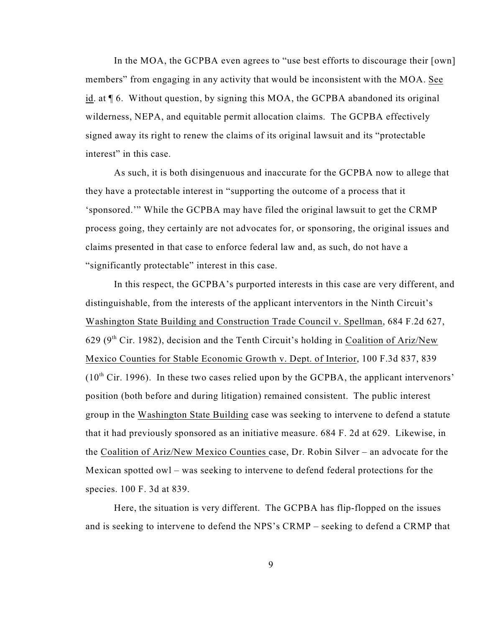In the MOA, the GCPBA even agrees to "use best efforts to discourage their [own] members" from engaging in any activity that would be inconsistent with the MOA. See id. at ¶ 6. Without question, by signing this MOA, the GCPBA abandoned its original wilderness, NEPA, and equitable permit allocation claims. The GCPBA effectively signed away its right to renew the claims of its original lawsuit and its "protectable interest" in this case.

As such, it is both disingenuous and inaccurate for the GCPBA now to allege that they have a protectable interest in "supporting the outcome of a process that it 'sponsored.'" While the GCPBA may have filed the original lawsuit to get the CRMP process going, they certainly are not advocates for, or sponsoring, the original issues and claims presented in that case to enforce federal law and, as such, do not have a "significantly protectable" interest in this case.

In this respect, the GCPBA's purported interests in this case are very different, and distinguishable, from the interests of the applicant interventors in the Ninth Circuit's Washington State Building and Construction Trade Council v. Spellman, 684 F.2d 627, 629 ( $9<sup>th</sup>$  Cir. 1982), decision and the Tenth Circuit's holding in Coalition of Ariz/New Mexico Counties for Stable Economic Growth v. Dept. of Interior, 100 F.3d 837, 839  $(10<sup>th</sup> Cir. 1996)$ . In these two cases relied upon by the GCPBA, the applicant intervenors' position (both before and during litigation) remained consistent. The public interest group in the Washington State Building case was seeking to intervene to defend a statute that it had previously sponsored as an initiative measure. 684 F. 2d at 629. Likewise, in the Coalition of Ariz/New Mexico Counties case, Dr. Robin Silver – an advocate for the Mexican spotted owl – was seeking to intervene to defend federal protections for the species. 100 F. 3d at 839.

Here, the situation is very different. The GCPBA has flip-flopped on the issues and is seeking to intervene to defend the NPS's CRMP – seeking to defend a CRMP that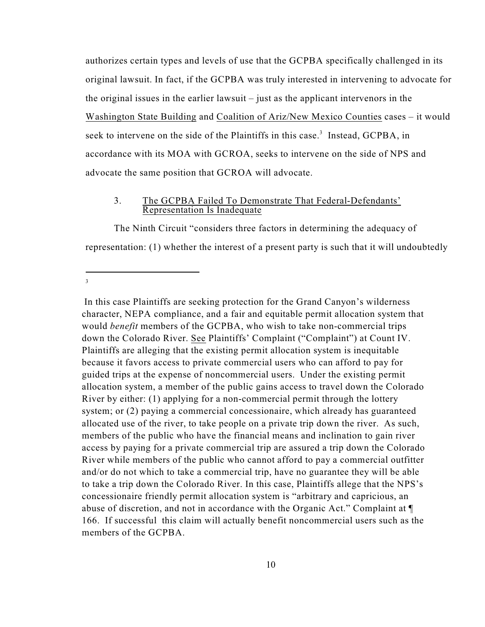authorizes certain types and levels of use that the GCPBA specifically challenged in its original lawsuit. In fact, if the GCPBA was truly interested in intervening to advocate for the original issues in the earlier lawsuit – just as the applicant intervenors in the Washington State Building and Coalition of Ariz/New Mexico Counties cases – it would seek to intervene on the side of the Plaintiffs in this case.<sup>3</sup> Instead, GCPBA, in accordance with its MOA with GCROA, seeks to intervene on the side of NPS and advocate the same position that GCROA will advocate.

### 3. The GCPBA Failed To Demonstrate That Federal-Defendants' Representation Is Inadequate

The Ninth Circuit "considers three factors in determining the adequacy of representation: (1) whether the interest of a present party is such that it will undoubtedly

3

In this case Plaintiffs are seeking protection for the Grand Canyon's wilderness character, NEPA compliance, and a fair and equitable permit allocation system that would *benefit* members of the GCPBA, who wish to take non-commercial trips down the Colorado River. See Plaintiffs' Complaint ("Complaint") at Count IV. Plaintiffs are alleging that the existing permit allocation system is inequitable because it favors access to private commercial users who can afford to pay for guided trips at the expense of noncommercial users. Under the existing permit allocation system, a member of the public gains access to travel down the Colorado River by either: (1) applying for a non-commercial permit through the lottery system; or (2) paying a commercial concessionaire, which already has guaranteed allocated use of the river, to take people on a private trip down the river. As such, members of the public who have the financial means and inclination to gain river access by paying for a private commercial trip are assured a trip down the Colorado River while members of the public who cannot afford to pay a commercial outfitter and/or do not which to take a commercial trip, have no guarantee they will be able to take a trip down the Colorado River. In this case, Plaintiffs allege that the NPS's concessionaire friendly permit allocation system is "arbitrary and capricious, an abuse of discretion, and not in accordance with the Organic Act." Complaint at ¶ 166. If successful this claim will actually benefit noncommercial users such as the members of the GCPBA.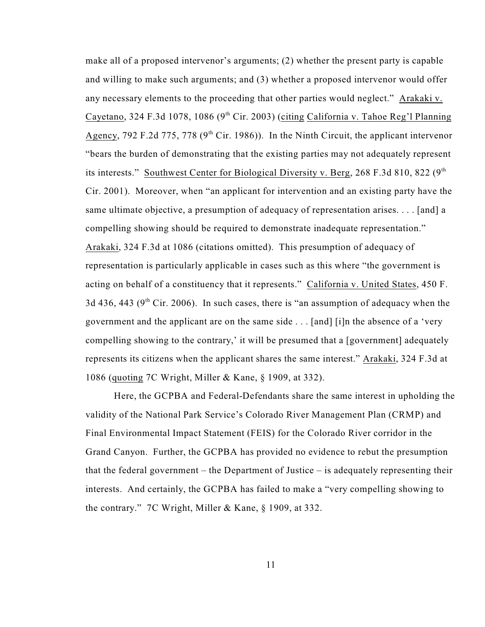make all of a proposed intervenor's arguments; (2) whether the present party is capable and willing to make such arguments; and (3) whether a proposed intervenor would offer any necessary elements to the proceeding that other parties would neglect." Arakaki v. Cayetano, 324 F.3d 1078, 1086 (9<sup>th</sup> Cir. 2003) (citing California v. Tahoe Reg'l Planning Agency, 792 F.2d 775, 778 ( $9<sup>th</sup>$  Cir. 1986)). In the Ninth Circuit, the applicant intervenor "bears the burden of demonstrating that the existing parties may not adequately represent its interests." Southwest Center for Biological Diversity v. Berg, 268 F.3d 810, 822  $(9<sup>th</sup>$ Cir. 2001). Moreover, when "an applicant for intervention and an existing party have the same ultimate objective, a presumption of adequacy of representation arises. . . . [and] a compelling showing should be required to demonstrate inadequate representation." Arakaki, 324 F.3d at 1086 (citations omitted). This presumption of adequacy of representation is particularly applicable in cases such as this where "the government is acting on behalf of a constituency that it represents." California v. United States, 450 F. 3d 436, 443 ( $9<sup>th</sup>$  Cir. 2006). In such cases, there is "an assumption of adequacy when the government and the applicant are on the same side . . . [and] [i]n the absence of a 'very compelling showing to the contrary,' it will be presumed that a [government] adequately represents its citizens when the applicant shares the same interest." Arakaki, 324 F.3d at 1086 (quoting 7C Wright, Miller & Kane, § 1909, at 332).

Here, the GCPBA and Federal-Defendants share the same interest in upholding the validity of the National Park Service's Colorado River Management Plan (CRMP) and Final Environmental Impact Statement (FEIS) for the Colorado River corridor in the Grand Canyon. Further, the GCPBA has provided no evidence to rebut the presumption that the federal government – the Department of Justice – is adequately representing their interests. And certainly, the GCPBA has failed to make a "very compelling showing to the contrary." 7C Wright, Miller & Kane, § 1909, at 332.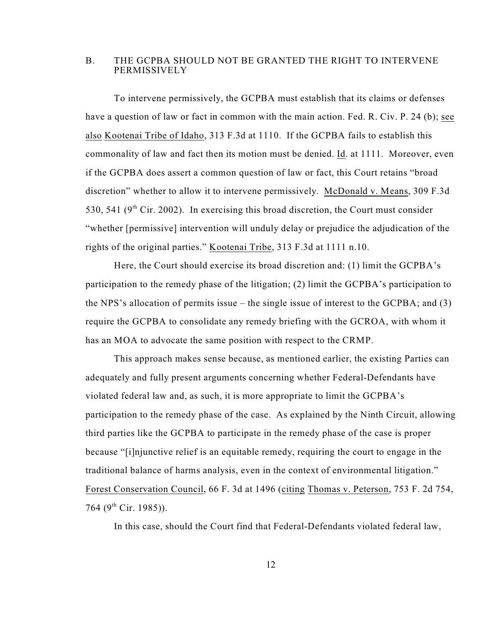### B. THE GCPBA SHOULD NOT BE GRANTED THE RIGHT TO INTERVENE **PERMISSIVELY**

To intervene permissively, the GCPBA must establish that its claims or defenses have a question of law or fact in common with the main action. Fed. R. Civ. P. 24 (b); see also Kootenai Tribe of Idaho, 313 F.3d at 1110. If the GCPBA fails to establish this commonality of law and fact then its motion must be denied. Id. at 1111. Moreover, even if the GCPBA does assert a common question of law or fact, this Court retains "broad discretion" whether to allow it to intervene permissively. McDonald v. Means, 309 F.3d 530, 541 ( $9<sup>th</sup>$  Cir. 2002). In exercising this broad discretion, the Court must consider "whether [permissive] intervention will unduly delay or prejudice the adjudication of the rights of the original parties." Kootenai Tribe, 313 F.3d at 1111 n.10.

Here, the Court should exercise its broad discretion and: (1) limit the GCPBA's participation to the remedy phase of the litigation; (2) limit the GCPBA's participation to the NPS's allocation of permits issue – the single issue of interest to the GCPBA; and (3) require the GCPBA to consolidate any remedy briefing with the GCROA, with whom it has an MOA to advocate the same position with respect to the CRMP.

This approach makes sense because, as mentioned earlier, the existing Parties can adequately and fully present arguments concerning whether Federal-Defendants have violated federal law and, as such, it is more appropriate to limit the GCPBA's participation to the remedy phase of the case. As explained by the Ninth Circuit, allowing third parties like the GCPBA to participate in the remedy phase of the case is proper because "[i]njunctive relief is an equitable remedy, requiring the court to engage in the traditional balance of harms analysis, even in the context of environmental litigation." Forest Conservation Council, 66 F. 3d at 1496 (citing Thomas v. Peterson, 753 F. 2d 754, 764 (9<sup>th</sup> Cir. 1985)).

In this case, should the Court find that Federal-Defendants violated federal law,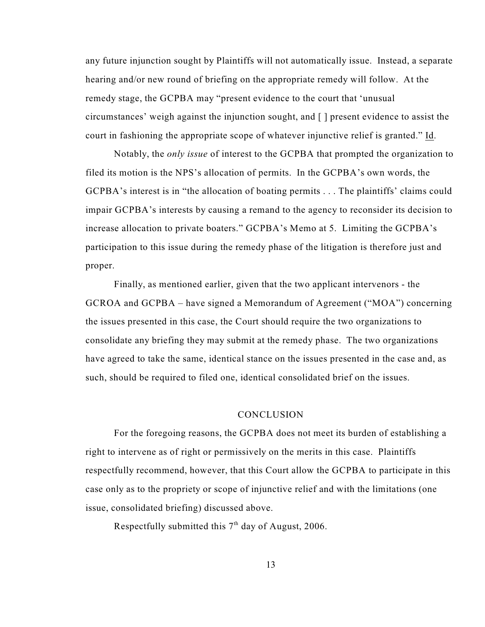any future injunction sought by Plaintiffs will not automatically issue. Instead, a separate hearing and/or new round of briefing on the appropriate remedy will follow. At the remedy stage, the GCPBA may "present evidence to the court that 'unusual circumstances' weigh against the injunction sought, and [ ] present evidence to assist the court in fashioning the appropriate scope of whatever injunctive relief is granted." Id.

Notably, the *only issue* of interest to the GCPBA that prompted the organization to filed its motion is the NPS's allocation of permits. In the GCPBA's own words, the GCPBA's interest is in "the allocation of boating permits . . . The plaintiffs' claims could impair GCPBA's interests by causing a remand to the agency to reconsider its decision to increase allocation to private boaters." GCPBA's Memo at 5. Limiting the GCPBA's participation to this issue during the remedy phase of the litigation is therefore just and proper.

Finally, as mentioned earlier, given that the two applicant intervenors - the GCROA and GCPBA – have signed a Memorandum of Agreement ("MOA") concerning the issues presented in this case, the Court should require the two organizations to consolidate any briefing they may submit at the remedy phase. The two organizations have agreed to take the same, identical stance on the issues presented in the case and, as such, should be required to filed one, identical consolidated brief on the issues.

#### **CONCLUSION**

For the foregoing reasons, the GCPBA does not meet its burden of establishing a right to intervene as of right or permissively on the merits in this case. Plaintiffs respectfully recommend, however, that this Court allow the GCPBA to participate in this case only as to the propriety or scope of injunctive relief and with the limitations (one issue, consolidated briefing) discussed above.

Respectfully submitted this  $7<sup>th</sup>$  day of August, 2006.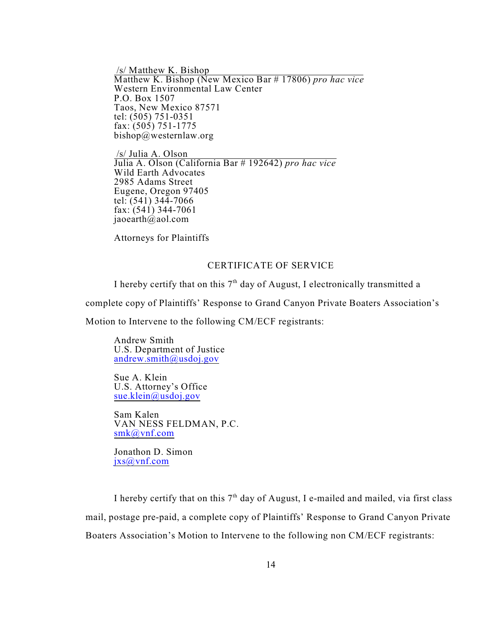/s/ Matthew K. Bishop Matthew K. Bishop (New Mexico Bar # 17806) *pro hac vice* Western Environmental Law Center P.O. Box 1507 Taos, New Mexico 87571 tel: (505) 751-0351 fax: (505) 751-1775 bishop@westernlaw.org

 /s/ Julia A. Olson Julia A. Olson (California Bar # 192642) *pro hac vice* Wild Earth Advocates 2985 Adams Street Eugene, Oregon 97405 tel:  $(541)$  344-7066 fax:  $(541)$  344-7061 jaoearth $\hat{\omega}$ aol.com

Attorneys for Plaintiffs

# CERTIFICATE OF SERVICE

I hereby certify that on this  $7<sup>th</sup>$  day of August, I electronically transmitted a

complete copy of Plaintiffs' Response to Grand Canyon Private Boaters Association's

Motion to Intervene to the following CM/ECF registrants:

Andrew Smith U.S. Department of Justice [andrew.smith@usdoj.gov](mailto:andrew.smith@usdoj.gov)

Sue A. Klein U.S. Attorney's Office [sue.klein@usdoj.gov](mailto:sue.klein@usdoj.gov)

Sam Kalen VAN NESS FELDMAN, P.C. [smk@vnf.com](mailto:smk@vnf.com)

Jonathon D. Simon [jxs@vnf.com](mailto:jxs@vnf.com)

I hereby certify that on this  $7<sup>th</sup>$  day of August, I e-mailed and mailed, via first class mail, postage pre-paid, a complete copy of Plaintiffs' Response to Grand Canyon Private Boaters Association's Motion to Intervene to the following non CM/ECF registrants: